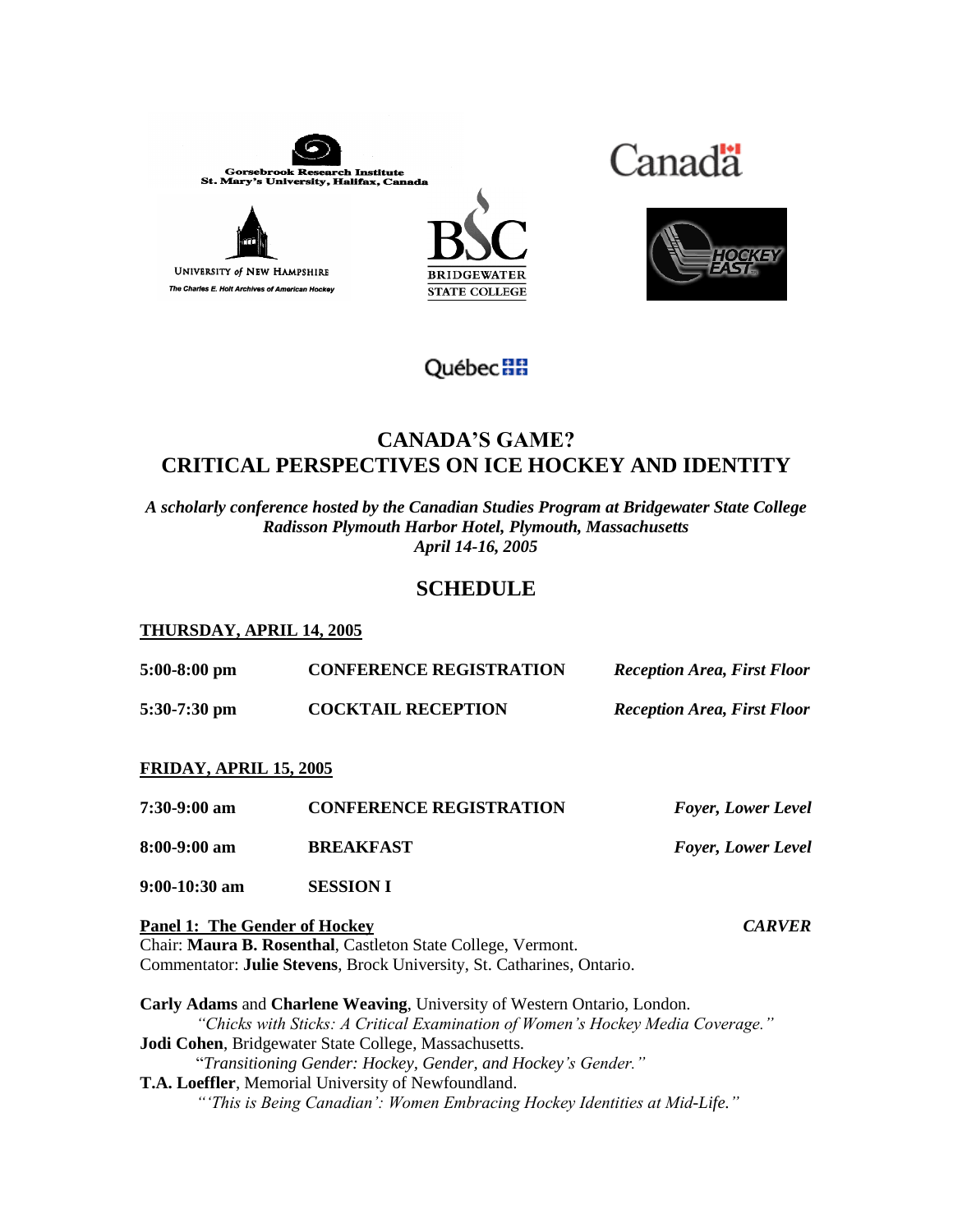









# **CANADAíS [GAM](http://www.gouv.qc.ca/)E? CRITICAL PERSPECTIVES ON ICE HOCKEY AND IDENTITY**

*A scholarly conference hosted by the Canadian Studies Program at Bridgewater State College Radisson Plymouth Harbor Hotel, Plymouth, Massachusetts April 14-16, 2005*

# **SCHEDULE**

### **THURSDAY, APRIL 14, 2005**

| $5:00-8:00$ pm                       | <b>CONFERENCE REGISTRATION</b>                                                                                                                             | <b>Reception Area, First Floor</b> |  |
|--------------------------------------|------------------------------------------------------------------------------------------------------------------------------------------------------------|------------------------------------|--|
| $5:30-7:30$ pm                       | <b>COCKTAIL RECEPTION</b>                                                                                                                                  | <b>Reception Area, First Floor</b> |  |
| <b>FRIDAY, APRIL 15, 2005</b>        |                                                                                                                                                            |                                    |  |
| 7:30-9:00 am                         | <b>CONFERENCE REGISTRATION</b>                                                                                                                             | <b>Foyer, Lower Level</b>          |  |
| $8:00-9:00$ am                       | <b>BREAKFAST</b>                                                                                                                                           | <b>Foyer, Lower Level</b>          |  |
| $9:00-10:30$ am                      | <b>SESSION I</b>                                                                                                                                           |                                    |  |
| <b>Panel 1: The Gender of Hockey</b> | Chair: Maura B. Rosenthal, Castleton State College, Vermont.<br>Commentator: Julie Stevens, Brock University, St. Catharines, Ontario.                     | <b>CARVER</b>                      |  |
|                                      | Carly Adams and Charlene Weaving, University of Western Ontario, London.<br>"Chicks with Sticks: A Critical Examination of Women's Hockey Media Coverage." |                                    |  |
|                                      | Jodi Cohen, Bridgewater State College, Massachusetts.                                                                                                      |                                    |  |

*Transitioning Gender: Hockey, Gender, and Hockeyís Gender.î*

**T.A. Loeffler**, Memorial University of Newfoundland. *is Being Canadianí: Women Embracing Hockey Identities at Mid-Life.<sup>î</sup>*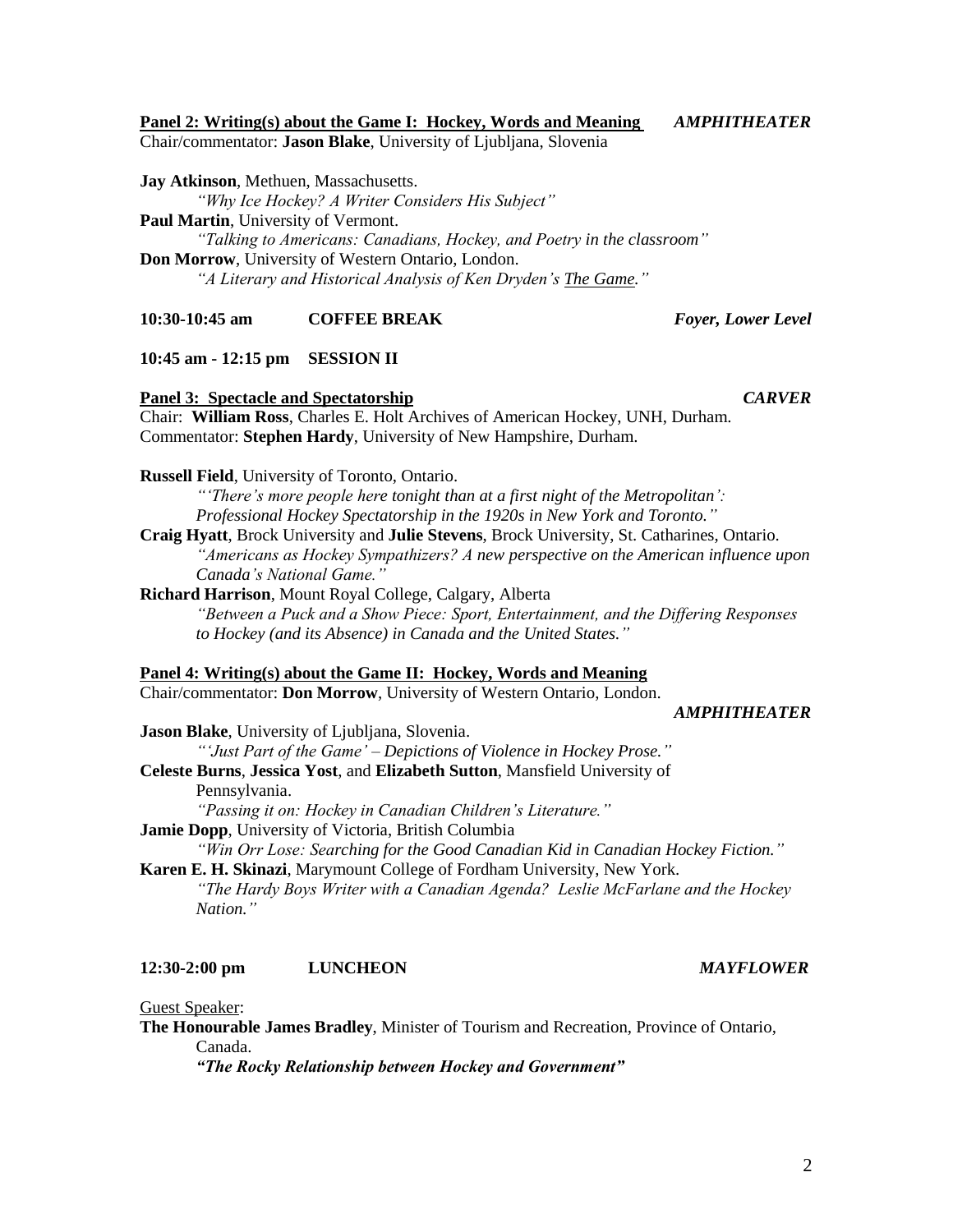### <u>Panel 2: Writing(s) about the Game I: Hockey, Words and Meaning</u> **AMPHITHEATER**

Chair/commentator: Jason Blake, University of Ljubljana, Slovenia

Jay Atkinson, Methuen, Massachusetts.

"Why Ice Hockey? A Writer Considers His Subject" Paul Martin, University of Vermont. "Talking to Americans: Canadians, Hockey, and Poetry in the classroom" Don Morrow, University of Western Ontario, London. "A Literary and Historical Analysis of Ken Dryden's The Game."

**COFFEE BREAK**  $10:30-10:45$  am

# 10:45 am - 12:15 pm SESSION II

**Panel 3: Spectacle and Spectatorship** Chair: William Ross, Charles E. Holt Archives of American Hockey, UNH, Durham. Commentator: Stephen Hardy, University of New Hampshire, Durham.

**Russell Field, University of Toronto, Ontario.** 

"There's more people here tonight than at a first night of the Metropolitan': Professional Hockey Spectatorship in the 1920s in New York and Toronto."

Craig Hyatt, Brock University and Julie Stevens, Brock University, St. Catharines, Ontario. "Americans as Hockey Sympathizers? A new perspective on the American influence upon Canada's National Game.'

Richard Harrison, Mount Royal College, Calgary, Alberta

"Between a Puck and a Show Piece: Sport, Entertainment, and the Differing Responses to Hockey (and its Absence) in Canada and the United States."

# Panel 4: Writing(s) about the Game II: Hockey, Words and Meaning

Chair/commentator: Don Morrow, University of Western Ontario, London.

### **AMPHITHEATER**

Jason Blake, University of Ljubljana, Slovenia. "'Just Part of the Game' – Depictions of Violence in Hockey Prose." Celeste Burns, Jessica Yost, and Elizabeth Sutton, Mansfield University of Pennsylvania. "Passing it on: Hockey in Canadian Children's Literature." Jamie Dopp, University of Victoria, British Columbia

"Win Orr Lose: Searching for the Good Canadian Kid in Canadian Hockey Fiction." Karen E. H. Skinazi, Marymount College of Fordham University, New York.

"The Hardy Boys Writer with a Canadian Agenda? Leslie McFarlane and the Hockey Nation."

### $12:30-2:00$  pm **LUNCHEON**

Guest Speaker:

The Honourable James Bradley, Minister of Tourism and Recreation, Province of Ontario, Canada.

"The Rocky Relationship between Hockey and Government"

Foyer, Lower Level

**CARVER** 

**MAYFLOWER**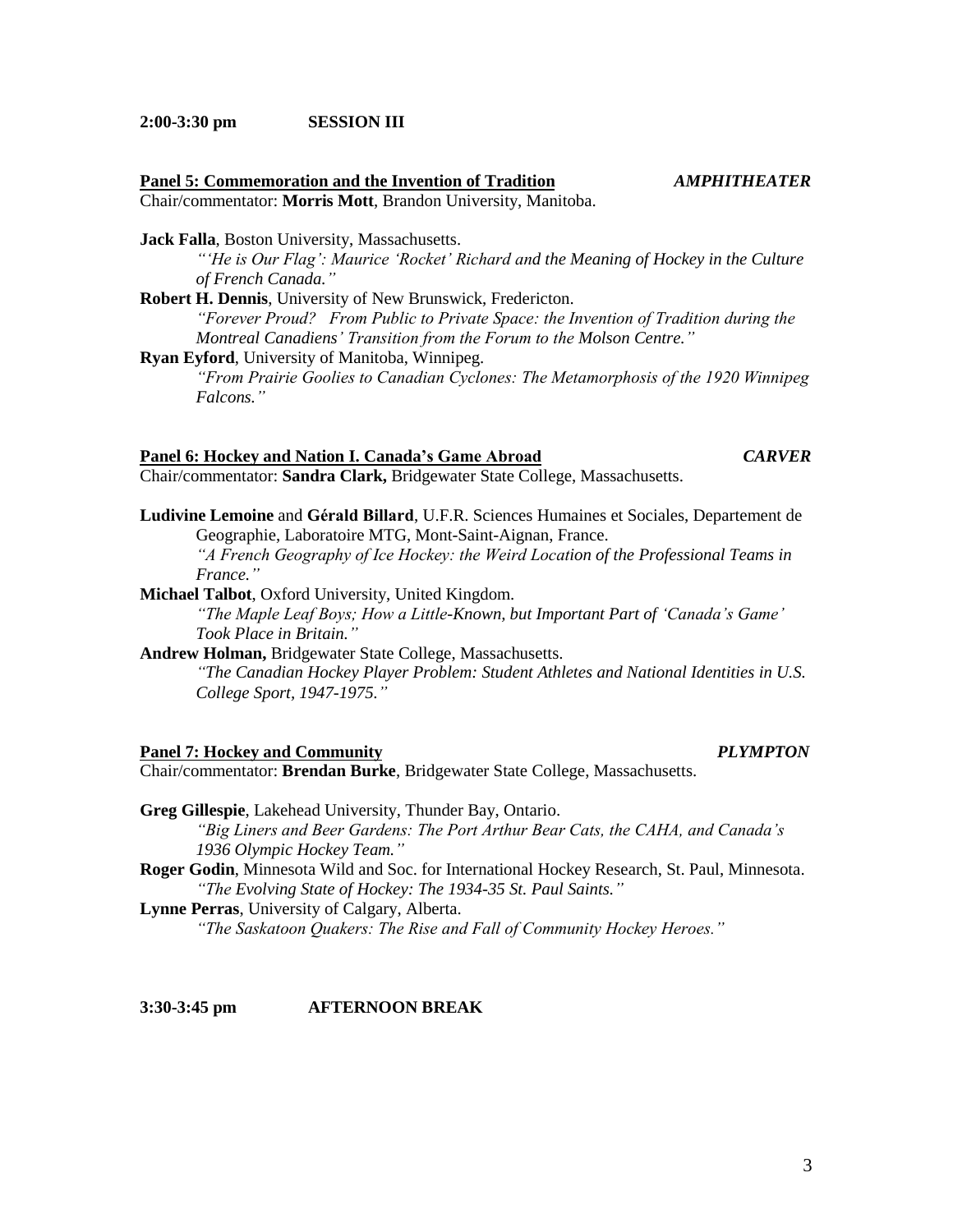$2:00-3:30$  pm **SESSION III** 

### Panel 5: Commemoration and the Invention of Tradition **AMPHITHEATER** Chair/commentator: Morris Mott, Brandon University, Manitoba.

Jack Falla, Boston University, Massachusetts.

"He is Our Flag': Maurice 'Rocket' Richard and the Meaning of Hockey in the Culture of French Canada."

Robert H. Dennis, University of New Brunswick, Fredericton. "Forever Proud? From Public to Private Space: the Invention of Tradition during the

Montreal Canadiens' Transition from the Forum to the Molson Centre."

Ryan Eyford, University of Manitoba, Winnipeg.

"From Prairie Goolies to Canadian Cyclones: The Metamorphosis of the 1920 Winnipeg Falcons<sup>"</sup>

### Panel 6: Hockey and Nation I. Canada's Game Abroad

Chair/commentator: Sandra Clark, Bridgewater State College, Massachusetts.

Ludivine Lemoine and Gérald Billard, U.F.R. Sciences Humaines et Sociales, Departement de Geographie, Laboratoire MTG, Mont-Saint-Aignan, France. "A French Geography of Ice Hockey: the Weird Location of the Professional Teams in France."

Michael Talbot, Oxford University, United Kingdom. "The Maple Leaf Boys; How a Little-Known, but Important Part of 'Canada's Game' Took Place in Britain."

Andrew Holman, Bridgewater State College, Massachusetts. "The Canadian Hockey Player Problem: Student Athletes and National Identities in U.S. College Sport, 1947-1975."

### **Panel 7: Hockey and Community**

Chair/commentator: Brendan Burke, Bridgewater State College, Massachusetts.

Greg Gillespie, Lakehead University, Thunder Bay, Ontario. "Big Liners and Beer Gardens: The Port Arthur Bear Cats, the CAHA, and Canada's 1936 Olympic Hockey Team."

Roger Godin, Minnesota Wild and Soc. for International Hockey Research, St. Paul, Minnesota. "The Evolving State of Hockey: The 1934-35 St. Paul Saints."

### Lynne Perras, University of Calgary, Alberta.

"The Saskatoon Quakers: The Rise and Fall of Community Hockey Heroes."

 $3:30-3:45$  pm **AFTERNOON BREAK** 

# **CARVER**

# **PLYMPTON**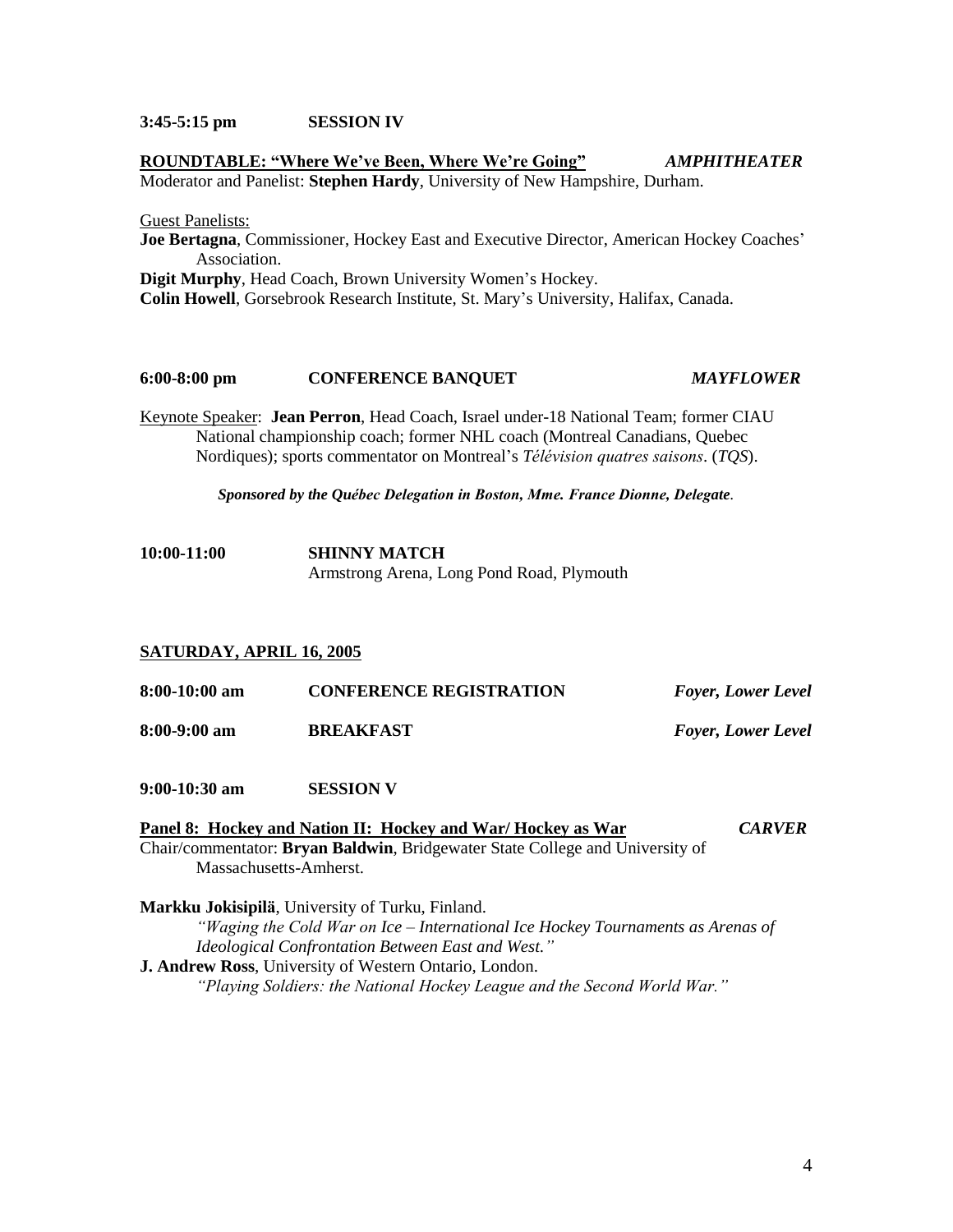### $3:45-5:15$  pm **SESSION IV**

# **AMPHITHEATER** ROUNDTABLE: "Where We've Been, Where We're Going" Moderator and Panelist: Stephen Hardy, University of New Hampshire, Durham. **Guest Panelists:** Joe Bertagna, Commissioner, Hockey East and Executive Director, American Hockey Coaches' Association. Digit Murphy, Head Coach, Brown University Women's Hockey. Colin Howell, Gorsebrook Research Institute, St. Mary's University, Halifax, Canada.

### $6:00-8:00$  pm **CONFERENCE BANQUET MAYFLOWER**

Keynote Speaker: Jean Perron, Head Coach, Israel under-18 National Team; former CIAU National championship coach; former NHL coach (Montreal Canadians, Quebec Nordiques); sports commentator on Montreal's *Télévision quatres saisons.* (*TOS*).

Sponsored by the Québec Delegation in Boston, Mme. France Dionne, Delegate.

 $10:00-11:00$ **SHINNY MATCH** Armstrong Arena, Long Pond Road, Plymouth

### SATURDAY, APRIL 16, 2005

| 8:00-10:00 am | <b>CONFERENCE REGISTRATION</b> | <b>Foyer, Lower Level</b> |
|---------------|--------------------------------|---------------------------|
| 8:00-9:00 am  | <b>BREAKFAST</b>               | <b>Foyer, Lower Level</b> |

 $9:00-10:30$  am **SESSION V** 

Panel 8: Hockey and Nation II: Hockey and War/Hockey as War **CARVER** Chair/commentator: Bryan Baldwin, Bridgewater State College and University of Massachusetts-Amherst.

Markku Jokisipilä, University of Turku, Finland. "Waging the Cold War on Ice – International Ice Hockey Tournaments as Arenas of Ideological Confrontation Between East and West." J. Andrew Ross, University of Western Ontario, London. "Playing Soldiers: the National Hockey League and the Second World War."